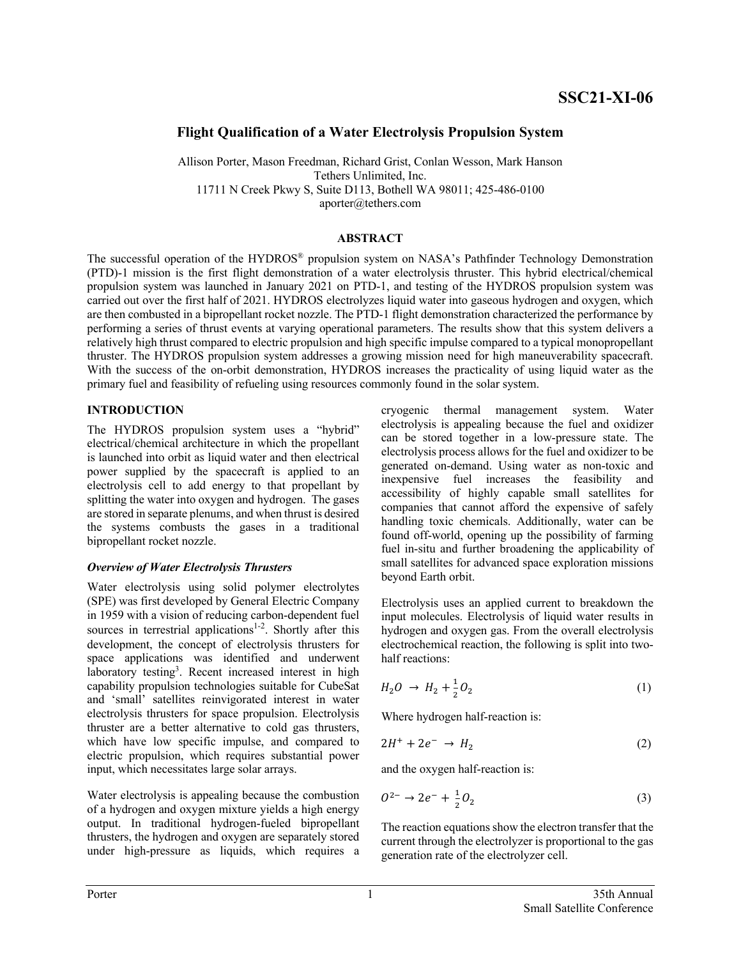# **Flight Qualification of a Water Electrolysis Propulsion System**

Allison Porter, Mason Freedman, Richard Grist, Conlan Wesson, Mark Hanson Tethers Unlimited, Inc. 11711 N Creek Pkwy S, Suite D113, Bothell WA 98011; 425-486-0100 aporter@tethers.com

#### **ABSTRACT**

The successful operation of the HYDROS® propulsion system on NASA's Pathfinder Technology Demonstration (PTD)-1 mission is the first flight demonstration of a water electrolysis thruster. This hybrid electrical/chemical propulsion system was launched in January 2021 on PTD-1, and testing of the HYDROS propulsion system was carried out over the first half of 2021. HYDROS electrolyzes liquid water into gaseous hydrogen and oxygen, which are then combusted in a bipropellant rocket nozzle. The PTD-1 flight demonstration characterized the performance by performing a series of thrust events at varying operational parameters. The results show that this system delivers a relatively high thrust compared to electric propulsion and high specific impulse compared to a typical monopropellant thruster. The HYDROS propulsion system addresses a growing mission need for high maneuverability spacecraft. With the success of the on-orbit demonstration, HYDROS increases the practicality of using liquid water as the primary fuel and feasibility of refueling using resources commonly found in the solar system.

### **INTRODUCTION**

The HYDROS propulsion system uses a "hybrid" electrical/chemical architecture in which the propellant is launched into orbit as liquid water and then electrical power supplied by the spacecraft is applied to an electrolysis cell to add energy to that propellant by splitting the water into oxygen and hydrogen. The gases are stored in separate plenums, and when thrust is desired the systems combusts the gases in a traditional bipropellant rocket nozzle.

### *Overview of Water Electrolysis Thrusters*

Water electrolysis using solid polymer electrolytes (SPE) was first developed by General Electric Company in 1959 with a vision of reducing carbon-dependent fuel sources in terrestrial applications<sup>1-2</sup>. Shortly after this development, the concept of electrolysis thrusters for space applications was identified and underwent laboratory testing<sup>3</sup>. Recent increased interest in high capability propulsion technologies suitable for CubeSat and 'small' satellites reinvigorated interest in water electrolysis thrusters for space propulsion. Electrolysis thruster are a better alternative to cold gas thrusters, which have low specific impulse, and compared to electric propulsion, which requires substantial power input, which necessitates large solar arrays.

Water electrolysis is appealing because the combustion of a hydrogen and oxygen mixture yields a high energy output. In traditional hydrogen-fueled bipropellant thrusters, the hydrogen and oxygen are separately stored under high-pressure as liquids, which requires a

cryogenic thermal management system. Water electrolysis is appealing because the fuel and oxidizer can be stored together in a low-pressure state. The electrolysis process allows for the fuel and oxidizer to be generated on-demand. Using water as non-toxic and inexpensive fuel increases the feasibility and accessibility of highly capable small satellites for companies that cannot afford the expensive of safely handling toxic chemicals. Additionally, water can be found off-world, opening up the possibility of farming fuel in-situ and further broadening the applicability of small satellites for advanced space exploration missions beyond Earth orbit.

Electrolysis uses an applied current to breakdown the input molecules. Electrolysis of liquid water results in hydrogen and oxygen gas. From the overall electrolysis electrochemical reaction, the following is split into twohalf reactions:

$$
H_2O \to H_2 + \frac{1}{2}O_2 \tag{1}
$$

Where hydrogen half-reaction is:

$$
2H^+ + 2e^- \rightarrow H_2 \tag{2}
$$

and the oxygen half-reaction is:

$$
0^{2-} \to 2e^- + \frac{1}{2}O_2 \tag{3}
$$

The reaction equations show the electron transfer that the current through the electrolyzer is proportional to the gas generation rate of the electrolyzer cell.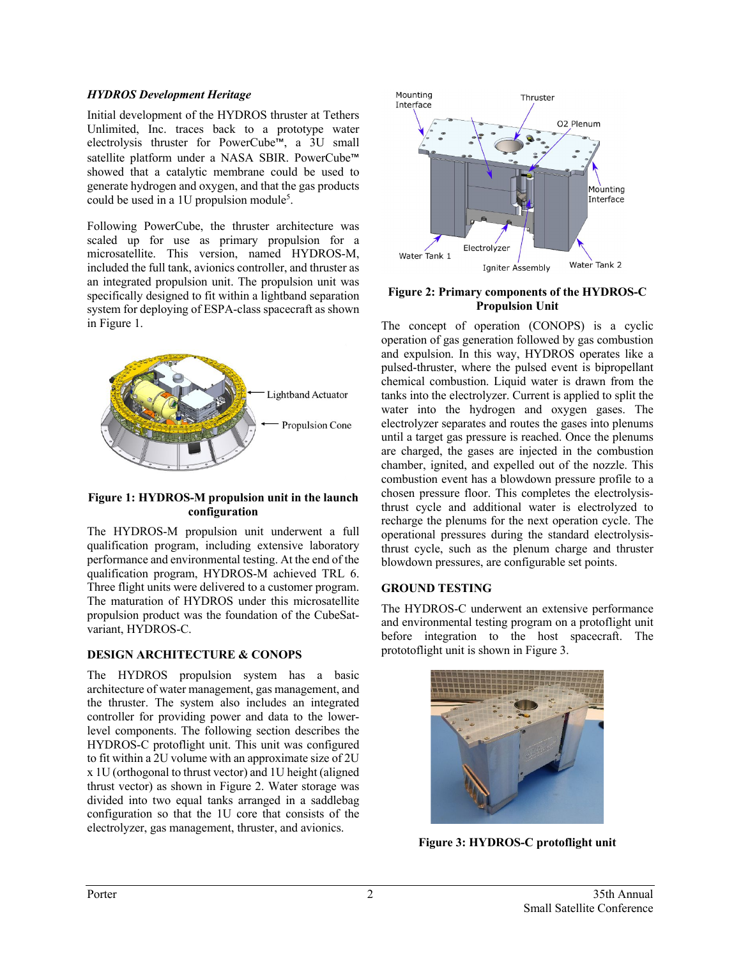### *HYDROS Development Heritage*

Initial development of the HYDROS thruster at Tethers Unlimited, Inc. traces back to a prototype water electrolysis thruster for PowerCube™, a 3U small satellite platform under a NASA SBIR. PowerCube™ showed that a catalytic membrane could be used to generate hydrogen and oxygen, and that the gas products could be used in a 1U propulsion module<sup>5</sup>.

Following PowerCube, the thruster architecture was scaled up for use as primary propulsion for a microsatellite. This version, named HYDROS-M, included the full tank, avionics controller, and thruster as an integrated propulsion unit. The propulsion unit was specifically designed to fit within a lightband separation system for deploying of ESPA-class spacecraft as shown in Figure 1.



#### **Figure 1: HYDROS-M propulsion unit in the launch configuration**

The HYDROS-M propulsion unit underwent a full qualification program, including extensive laboratory performance and environmental testing. At the end of the qualification program, HYDROS-M achieved TRL 6. Three flight units were delivered to a customer program. The maturation of HYDROS under this microsatellite propulsion product was the foundation of the CubeSatvariant, HYDROS-C.

### **DESIGN ARCHITECTURE & CONOPS**

The HYDROS propulsion system has a basic architecture of water management, gas management, and the thruster. The system also includes an integrated controller for providing power and data to the lowerlevel components. The following section describes the HYDROS-C protoflight unit. This unit was configured to fit within a 2U volume with an approximate size of 2U x 1U (orthogonal to thrust vector) and 1U height (aligned thrust vector) as shown in Figure 2. Water storage was divided into two equal tanks arranged in a saddlebag configuration so that the 1U core that consists of the electrolyzer, gas management, thruster, and avionics.



#### **Figure 2: Primary components of the HYDROS-C Propulsion Unit**

The concept of operation (CONOPS) is a cyclic operation of gas generation followed by gas combustion and expulsion. In this way, HYDROS operates like a pulsed-thruster, where the pulsed event is bipropellant chemical combustion. Liquid water is drawn from the tanks into the electrolyzer. Current is applied to split the water into the hydrogen and oxygen gases. The electrolyzer separates and routes the gases into plenums until a target gas pressure is reached. Once the plenums are charged, the gases are injected in the combustion chamber, ignited, and expelled out of the nozzle. This combustion event has a blowdown pressure profile to a chosen pressure floor. This completes the electrolysisthrust cycle and additional water is electrolyzed to recharge the plenums for the next operation cycle. The operational pressures during the standard electrolysisthrust cycle, such as the plenum charge and thruster blowdown pressures, are configurable set points.

### **GROUND TESTING**

The HYDROS-C underwent an extensive performance and environmental testing program on a protoflight unit before integration to the host spacecraft. The prototoflight unit is shown in Figure 3.



**Figure 3: HYDROS-C protoflight unit**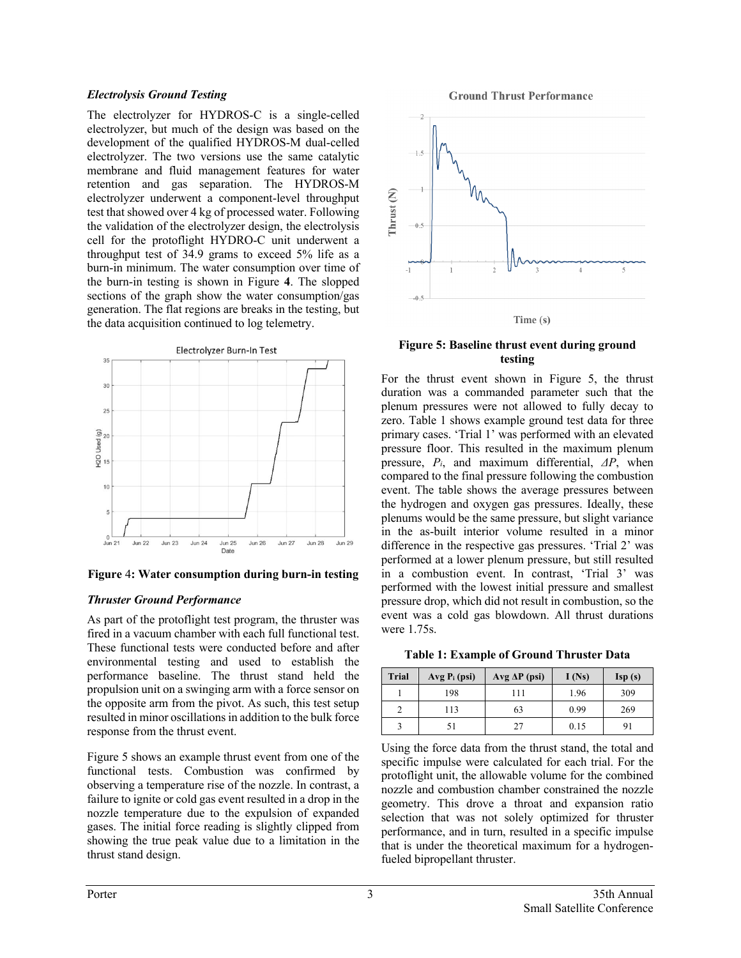#### *Electrolysis Ground Testing*

The electrolyzer for HYDROS-C is a single-celled electrolyzer, but much of the design was based on the development of the qualified HYDROS-M dual-celled electrolyzer. The two versions use the same catalytic membrane and fluid management features for water retention and gas separation. The HYDROS-M electrolyzer underwent a component-level throughput test that showed over 4 kg of processed water. Following the validation of the electrolyzer design, the electrolysis cell for the protoflight HYDRO-C unit underwent a throughput test of 34.9 grams to exceed 5% life as a burn-in minimum. The water consumption over time of the burn-in testing is shown in Figure **4**. The slopped sections of the graph show the water consumption/gas generation. The flat regions are breaks in the testing, but the data acquisition continued to log telemetry.



**Figure** 4**: Water consumption during burn-in testing**

#### *Thruster Ground Performance*

As part of the protoflight test program, the thruster was fired in a vacuum chamber with each full functional test. These functional tests were conducted before and after environmental testing and used to establish the performance baseline. The thrust stand held the propulsion unit on a swinging arm with a force sensor on the opposite arm from the pivot. As such, this test setup resulted in minor oscillations in addition to the bulk force response from the thrust event.

Figure 5 shows an example thrust event from one of the functional tests. Combustion was confirmed by observing a temperature rise of the nozzle. In contrast, a failure to ignite or cold gas event resulted in a drop in the nozzle temperature due to the expulsion of expanded gases. The initial force reading is slightly clipped from showing the true peak value due to a limitation in the thrust stand design.

**Ground Thrust Performance** 



#### **Figure 5: Baseline thrust event during ground testing**

For the thrust event shown in Figure 5, the thrust duration was a commanded parameter such that the plenum pressures were not allowed to fully decay to zero. Table 1 shows example ground test data for three primary cases. 'Trial 1' was performed with an elevated pressure floor. This resulted in the maximum plenum pressure, *Pi*, and maximum differential, *ΔP*, when compared to the final pressure following the combustion event. The table shows the average pressures between the hydrogen and oxygen gas pressures. Ideally, these plenums would be the same pressure, but slight variance in the as-built interior volume resulted in a minor difference in the respective gas pressures. 'Trial 2' was performed at a lower plenum pressure, but still resulted in a combustion event. In contrast, 'Trial 3' was performed with the lowest initial pressure and smallest pressure drop, which did not result in combustion, so the event was a cold gas blowdown. All thrust durations were 1.75s.

**Table 1: Example of Ground Thruster Data**

| <b>Trial</b> | $Avg P_i (psi)$ | $Avg \Delta P (psi)$ | I(Ns) | Isp(s) |
|--------------|-----------------|----------------------|-------|--------|
|              | 198             | 111                  | 1.96  | 309    |
|              | 113             | 63                   | 0.99  | 269    |
|              |                 | 27                   | 0.15  | 91     |

Using the force data from the thrust stand, the total and specific impulse were calculated for each trial. For the protoflight unit, the allowable volume for the combined nozzle and combustion chamber constrained the nozzle geometry. This drove a throat and expansion ratio selection that was not solely optimized for thruster performance, and in turn, resulted in a specific impulse that is under the theoretical maximum for a hydrogenfueled bipropellant thruster.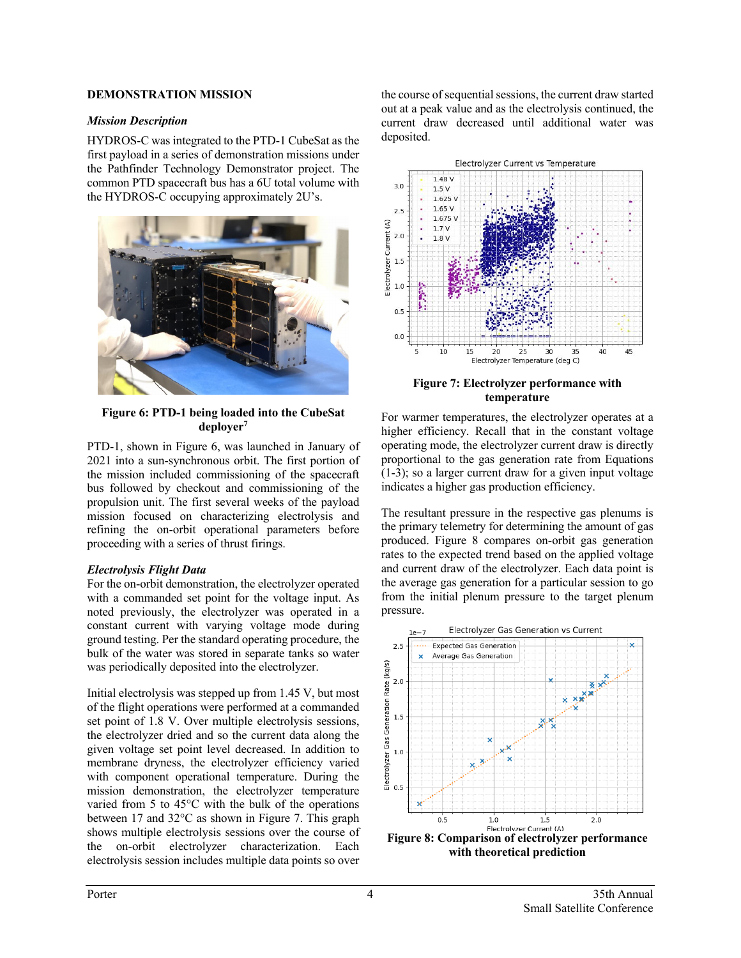#### **DEMONSTRATION MISSION**

#### *Mission Description*

HYDROS-C was integrated to the PTD-1 CubeSat as the first payload in a series of demonstration missions under the Pathfinder Technology Demonstrator project. The common PTD spacecraft bus has a 6U total volume with the HYDROS-C occupying approximately 2U's.



**Figure 6: PTD-1 being loaded into the CubeSat deployer7**

PTD-1, shown in Figure 6, was launched in January of 2021 into a sun-synchronous orbit. The first portion of the mission included commissioning of the spacecraft bus followed by checkout and commissioning of the propulsion unit. The first several weeks of the payload mission focused on characterizing electrolysis and refining the on-orbit operational parameters before proceeding with a series of thrust firings.

#### *Electrolysis Flight Data*

For the on-orbit demonstration, the electrolyzer operated with a commanded set point for the voltage input. As noted previously, the electrolyzer was operated in a constant current with varying voltage mode during ground testing. Per the standard operating procedure, the bulk of the water was stored in separate tanks so water was periodically deposited into the electrolyzer.

Initial electrolysis was stepped up from 1.45 V, but most of the flight operations were performed at a commanded set point of 1.8 V. Over multiple electrolysis sessions, the electrolyzer dried and so the current data along the given voltage set point level decreased. In addition to membrane dryness, the electrolyzer efficiency varied with component operational temperature. During the mission demonstration, the electrolyzer temperature varied from 5 to 45°C with the bulk of the operations between 17 and 32°C as shown in Figure 7. This graph shows multiple electrolysis sessions over the course of the on-orbit electrolyzer characterization. Each electrolysis session includes multiple data points so over

the course of sequential sessions, the current draw started out at a peak value and as the electrolysis continued, the current draw decreased until additional water was deposited.



**Figure 7: Electrolyzer performance with temperature**

For warmer temperatures, the electrolyzer operates at a higher efficiency. Recall that in the constant voltage operating mode, the electrolyzer current draw is directly proportional to the gas generation rate from Equations (1-3); so a larger current draw for a given input voltage indicates a higher gas production efficiency.

The resultant pressure in the respective gas plenums is the primary telemetry for determining the amount of gas produced. Figure 8 compares on-orbit gas generation rates to the expected trend based on the applied voltage and current draw of the electrolyzer. Each data point is the average gas generation for a particular session to go from the initial plenum pressure to the target plenum pressure.



**with theoretical prediction**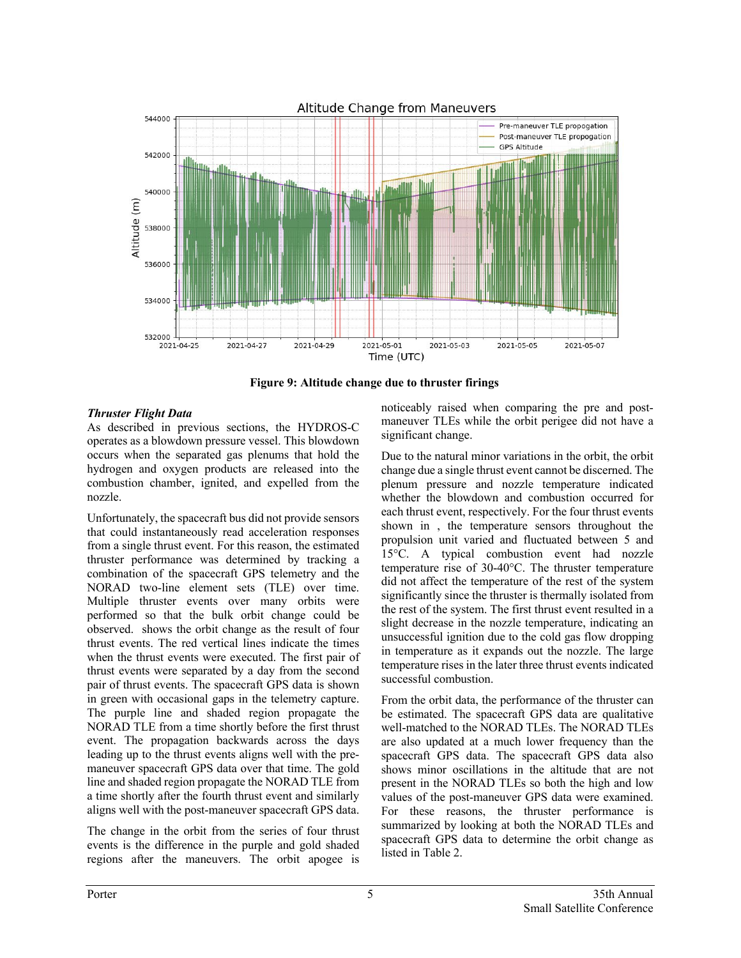

**Figure 9: Altitude change due to thruster firings**

## *Thruster Flight Data*

As described in previous sections, the HYDROS-C operates as a blowdown pressure vessel. This blowdown occurs when the separated gas plenums that hold the hydrogen and oxygen products are released into the combustion chamber, ignited, and expelled from the nozzle.

Unfortunately, the spacecraft bus did not provide sensors that could instantaneously read acceleration responses from a single thrust event. For this reason, the estimated thruster performance was determined by tracking a combination of the spacecraft GPS telemetry and the NORAD two-line element sets (TLE) over time. Multiple thruster events over many orbits were performed so that the bulk orbit change could be observed. shows the orbit change as the result of four thrust events. The red vertical lines indicate the times when the thrust events were executed. The first pair of thrust events were separated by a day from the second pair of thrust events. The spacecraft GPS data is shown in green with occasional gaps in the telemetry capture. The purple line and shaded region propagate the NORAD TLE from a time shortly before the first thrust event. The propagation backwards across the days leading up to the thrust events aligns well with the premaneuver spacecraft GPS data over that time. The gold line and shaded region propagate the NORAD TLE from a time shortly after the fourth thrust event and similarly aligns well with the post-maneuver spacecraft GPS data.

The change in the orbit from the series of four thrust events is the difference in the purple and gold shaded regions after the maneuvers. The orbit apogee is

noticeably raised when comparing the pre and postmaneuver TLEs while the orbit perigee did not have a significant change.

Due to the natural minor variations in the orbit, the orbit change due a single thrust event cannot be discerned. The plenum pressure and nozzle temperature indicated whether the blowdown and combustion occurred for each thrust event, respectively. For the four thrust events shown in , the temperature sensors throughout the propulsion unit varied and fluctuated between 5 and 15°C. A typical combustion event had nozzle temperature rise of 30-40°C. The thruster temperature did not affect the temperature of the rest of the system significantly since the thruster is thermally isolated from the rest of the system. The first thrust event resulted in a slight decrease in the nozzle temperature, indicating an unsuccessful ignition due to the cold gas flow dropping in temperature as it expands out the nozzle. The large temperature rises in the later three thrust events indicated successful combustion.

From the orbit data, the performance of the thruster can be estimated. The spacecraft GPS data are qualitative well-matched to the NORAD TLEs. The NORAD TLEs are also updated at a much lower frequency than the spacecraft GPS data. The spacecraft GPS data also shows minor oscillations in the altitude that are not present in the NORAD TLEs so both the high and low values of the post-maneuver GPS data were examined. For these reasons, the thruster performance is summarized by looking at both the NORAD TLEs and spacecraft GPS data to determine the orbit change as listed in Table 2.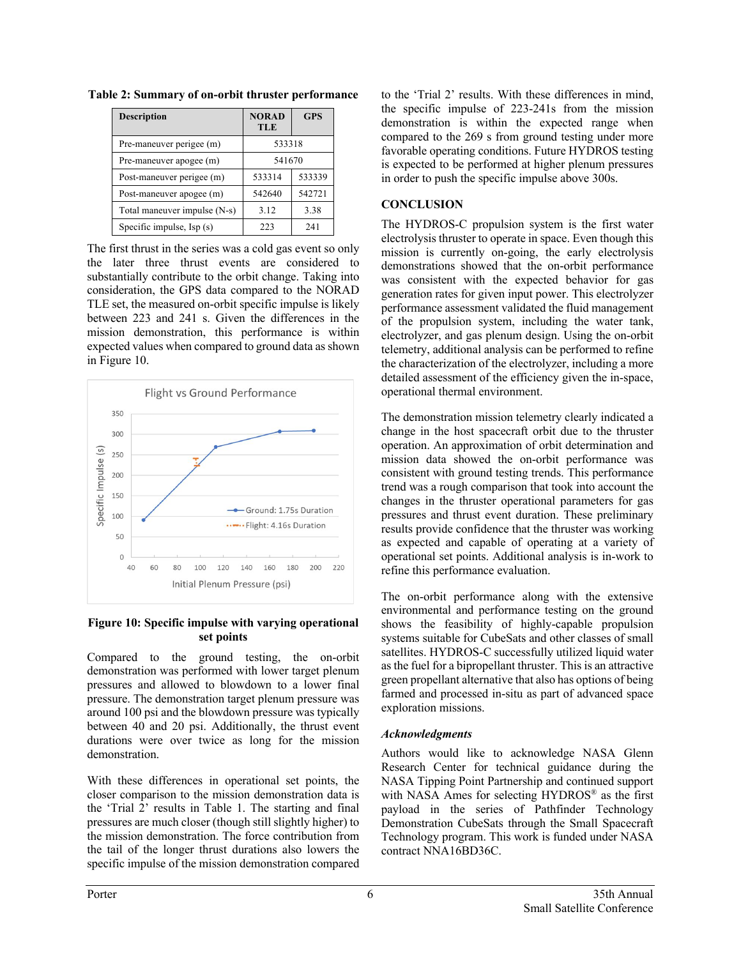| <b>Description</b>           | <b>NORAD</b><br><b>TLE</b> | <b>GPS</b> |
|------------------------------|----------------------------|------------|
| Pre-maneuver perigee (m)     | 533318                     |            |
| Pre-maneuver apogee (m)      | 541670                     |            |
| Post-maneuver perigee (m)    | 533314                     | 533339     |
| Post-maneuver apogee (m)     | 542640                     | 542721     |
| Total maneuver impulse (N-s) | 3.12                       | 3.38       |
| Specific impulse, Isp (s)    | 223                        | 241        |

**Table 2: Summary of on-orbit thruster performance**

The first thrust in the series was a cold gas event so only the later three thrust events are considered to substantially contribute to the orbit change. Taking into consideration, the GPS data compared to the NORAD TLE set, the measured on-orbit specific impulse is likely between 223 and 241 s. Given the differences in the mission demonstration, this performance is within expected values when compared to ground data as shown in Figure 10.



#### **Figure 10: Specific impulse with varying operational set points**

Compared to the ground testing, the on-orbit demonstration was performed with lower target plenum pressures and allowed to blowdown to a lower final pressure. The demonstration target plenum pressure was around 100 psi and the blowdown pressure was typically between 40 and 20 psi. Additionally, the thrust event durations were over twice as long for the mission demonstration.

With these differences in operational set points, the closer comparison to the mission demonstration data is the 'Trial 2' results in Table 1. The starting and final pressures are much closer (though still slightly higher) to the mission demonstration. The force contribution from the tail of the longer thrust durations also lowers the specific impulse of the mission demonstration compared

to the 'Trial 2' results. With these differences in mind, the specific impulse of 223-241s from the mission demonstration is within the expected range when compared to the 269 s from ground testing under more favorable operating conditions. Future HYDROS testing is expected to be performed at higher plenum pressures in order to push the specific impulse above 300s.

## **CONCLUSION**

The HYDROS-C propulsion system is the first water electrolysis thruster to operate in space. Even though this mission is currently on-going, the early electrolysis demonstrations showed that the on-orbit performance was consistent with the expected behavior for gas generation rates for given input power. This electrolyzer performance assessment validated the fluid management of the propulsion system, including the water tank, electrolyzer, and gas plenum design. Using the on-orbit telemetry, additional analysis can be performed to refine the characterization of the electrolyzer, including a more detailed assessment of the efficiency given the in-space, operational thermal environment.

The demonstration mission telemetry clearly indicated a change in the host spacecraft orbit due to the thruster operation. An approximation of orbit determination and mission data showed the on-orbit performance was consistent with ground testing trends. This performance trend was a rough comparison that took into account the changes in the thruster operational parameters for gas pressures and thrust event duration. These preliminary results provide confidence that the thruster was working as expected and capable of operating at a variety of operational set points. Additional analysis is in-work to refine this performance evaluation.

The on-orbit performance along with the extensive environmental and performance testing on the ground shows the feasibility of highly-capable propulsion systems suitable for CubeSats and other classes of small satellites. HYDROS-C successfully utilized liquid water as the fuel for a bipropellant thruster. This is an attractive green propellant alternative that also has options of being farmed and processed in-situ as part of advanced space exploration missions.

### *Acknowledgments*

Authors would like to acknowledge NASA Glenn Research Center for technical guidance during the NASA Tipping Point Partnership and continued support with NASA Ames for selecting HYDROS<sup>®</sup> as the first payload in the series of Pathfinder Technology Demonstration CubeSats through the Small Spacecraft Technology program. This work is funded under NASA contract NNA16BD36C.